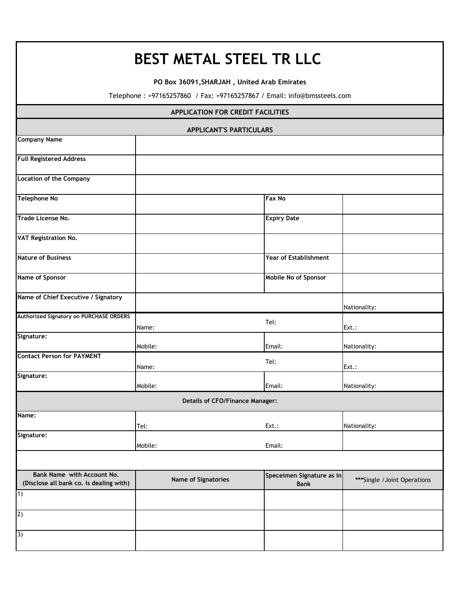## **BEST METAL STEEL TR LLC**

**PO Box 36091,SHARJAH , United Arab Emirates**

Telephone : +97165257860 / Fax: +97165257867 / Email: info@bmssteels.com

| <b>APPLICATION FOR CREDIT FACILITIES</b>                              |                            |                                          |                              |  |  |  |
|-----------------------------------------------------------------------|----------------------------|------------------------------------------|------------------------------|--|--|--|
| <b>APPLICANT'S PARTICULARS</b>                                        |                            |                                          |                              |  |  |  |
| <b>Company Name</b>                                                   |                            |                                          |                              |  |  |  |
| <b>Full Registered Address</b>                                        |                            |                                          |                              |  |  |  |
| <b>Location of the Company</b>                                        |                            |                                          |                              |  |  |  |
| <b>Telephone No</b>                                                   |                            | <b>Fax No</b>                            |                              |  |  |  |
| Trade License No.                                                     |                            | <b>Expiry Date</b>                       |                              |  |  |  |
| <b>VAT Registration No.</b>                                           |                            |                                          |                              |  |  |  |
| <b>Nature of Business</b>                                             |                            | Year of Establishment                    |                              |  |  |  |
| Name of Sponsor                                                       |                            | Mobile No of Sponsor                     |                              |  |  |  |
| Name of Chief Executive / Signatory                                   |                            |                                          | Nationality:                 |  |  |  |
| Authorized Signatory on PURCHASE ORDERS                               | Name:                      | Tel:                                     | Ext.:                        |  |  |  |
| Signature:                                                            | Mobile:                    | Email:                                   | Nationality:                 |  |  |  |
| <b>Contact Person for PAYMENT</b>                                     | Name:                      | Tel:                                     | Ext.:                        |  |  |  |
| Signature:                                                            | Mobile:                    | Email:                                   | Nationality:                 |  |  |  |
| <b>Details of CFO/Finance Manager:</b>                                |                            |                                          |                              |  |  |  |
| Name:                                                                 | Tel:                       | Ext.:                                    | Nationality:                 |  |  |  |
| Signature:                                                            | Mobile:                    | Email:                                   |                              |  |  |  |
|                                                                       |                            |                                          |                              |  |  |  |
| Bank Name with Account No.<br>(Disclose all bank co. is dealing with) | <b>Name of Signatories</b> | Speceimen Signature as in<br><b>Bank</b> | ***Single / Joint Operations |  |  |  |
| $\overline{1)}$                                                       |                            |                                          |                              |  |  |  |
| 2)                                                                    |                            |                                          |                              |  |  |  |
| 3)                                                                    |                            |                                          |                              |  |  |  |